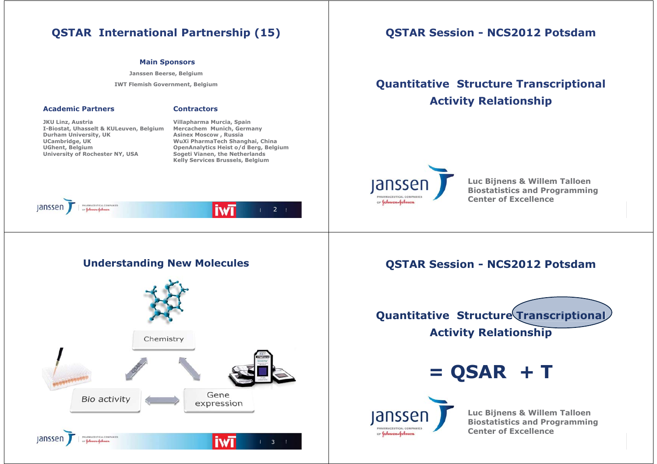#### **Main Sponsors**

**Janssen Beerse, Belgium** 

**IWT Flemish Government, Belgium** 

### **Academic Partners**

#### **Contractors**

**JKU Linz, Austria I-Biostat, Uhasselt & KULeuven, Belgium Durham University, UK UCambridge, UK UGhent, Belgium University of Rochester NY, USA** 

**Villapharma Murcia, Spain Mercachem Munich, Germany Asinex Moscow , Russia WuXi PharmaTech Shanghai, China OpenAnalytics Heist o/d Berg, Belgium Sogeti Vianen, the Netherlands Kelly Services Brussels, Belgium** 



### **Understanding New Molecules**



## **QSTAR Session - NCS2012 Potsdam**

# **Quantitative Structure Transcriptional Activity Relationship**



**Luc Bijnens & Willem Talloen Biostatistics and Programming Center of Excellence**

### **QSTAR Session - NCS2012 Potsdam**



**= QSAR + T** 



**Luc Bijnens & Willem Talloen Biostatistics and Programming Center of Excellence**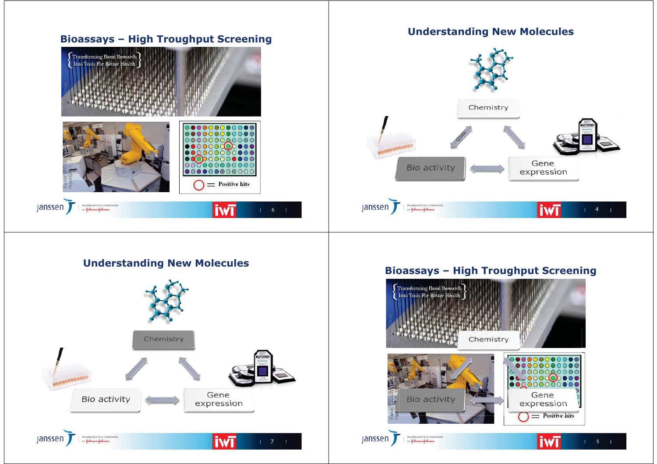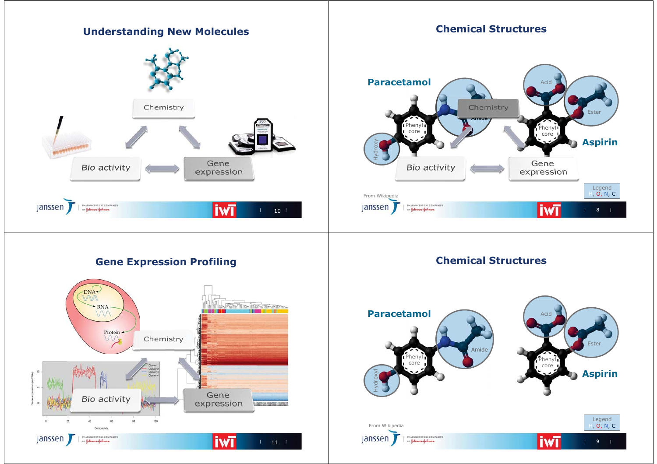